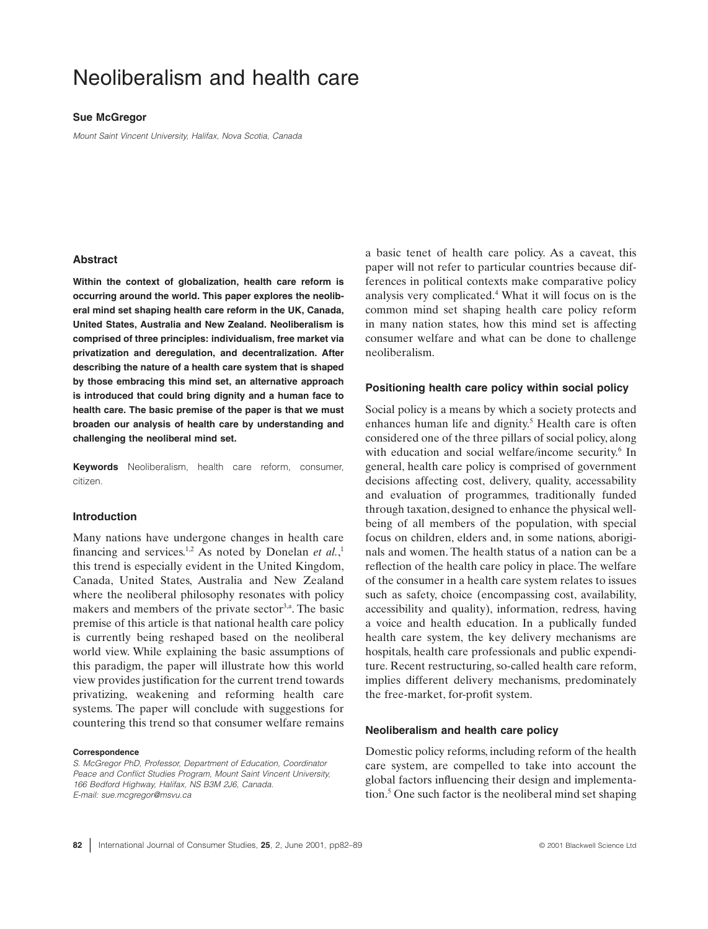# Neoliberalism and health care

# **Sue McGregor**

*Mount Saint Vincent University, Halifax, Nova Scotia, Canada*

# **Abstract**

**Within the context of globalization, health care reform is occurring around the world. This paper explores the neoliberal mind set shaping health care reform in the UK, Canada, United States, Australia and New Zealand. Neoliberalism is comprised of three principles: individualism, free market via privatization and deregulation, and decentralization. After describing the nature of a health care system that is shaped by those embracing this mind set, an alternative approach is introduced that could bring dignity and a human face to health care. The basic premise of the paper is that we must broaden our analysis of health care by understanding and challenging the neoliberal mind set.**

**Keywords** Neoliberalism, health care reform, consumer, citizen.

# **Introduction**

Many nations have undergone changes in health care financing and services.<sup>1,2</sup> As noted by Donelan *et al.*,<sup>1</sup> this trend is especially evident in the United Kingdom, Canada, United States, Australia and New Zealand where the neoliberal philosophy resonates with policy makers and members of the private sector<sup>3,a</sup>. The basic premise of this article is that national health care policy is currently being reshaped based on the neoliberal world view. While explaining the basic assumptions of this paradigm, the paper will illustrate how this world view provides justification for the current trend towards privatizing, weakening and reforming health care systems. The paper will conclude with suggestions for countering this trend so that consumer welfare remains

#### **Correspondence**

*S. McGregor PhD, Professor, Department of Education, Coordinator Peace and Conflict Studies Program, Mount Saint Vincent University, 166 Bedford Highway, Halifax, NS B3M 2J6, Canada. E-mail: sue.mcgregor@msvu.ca*

a basic tenet of health care policy. As a caveat, this paper will not refer to particular countries because differences in political contexts make comparative policy analysis very complicated.4 What it will focus on is the common mind set shaping health care policy reform in many nation states, how this mind set is affecting consumer welfare and what can be done to challenge neoliberalism.

# **Positioning health care policy within social policy**

Social policy is a means by which a society protects and enhances human life and dignity.<sup>5</sup> Health care is often considered one of the three pillars of social policy, along with education and social welfare/income security.<sup>6</sup> In general, health care policy is comprised of government decisions affecting cost, delivery, quality, accessability and evaluation of programmes, traditionally funded through taxation, designed to enhance the physical wellbeing of all members of the population, with special focus on children, elders and, in some nations, aboriginals and women. The health status of a nation can be a reflection of the health care policy in place. The welfare of the consumer in a health care system relates to issues such as safety, choice (encompassing cost, availability, accessibility and quality), information, redress, having a voice and health education. In a publically funded health care system, the key delivery mechanisms are hospitals, health care professionals and public expenditure. Recent restructuring, so-called health care reform, implies different delivery mechanisms, predominately the free-market, for-profit system.

#### **Neoliberalism and health care policy**

Domestic policy reforms, including reform of the health care system, are compelled to take into account the global factors influencing their design and implementation.5 One such factor is the neoliberal mind set shaping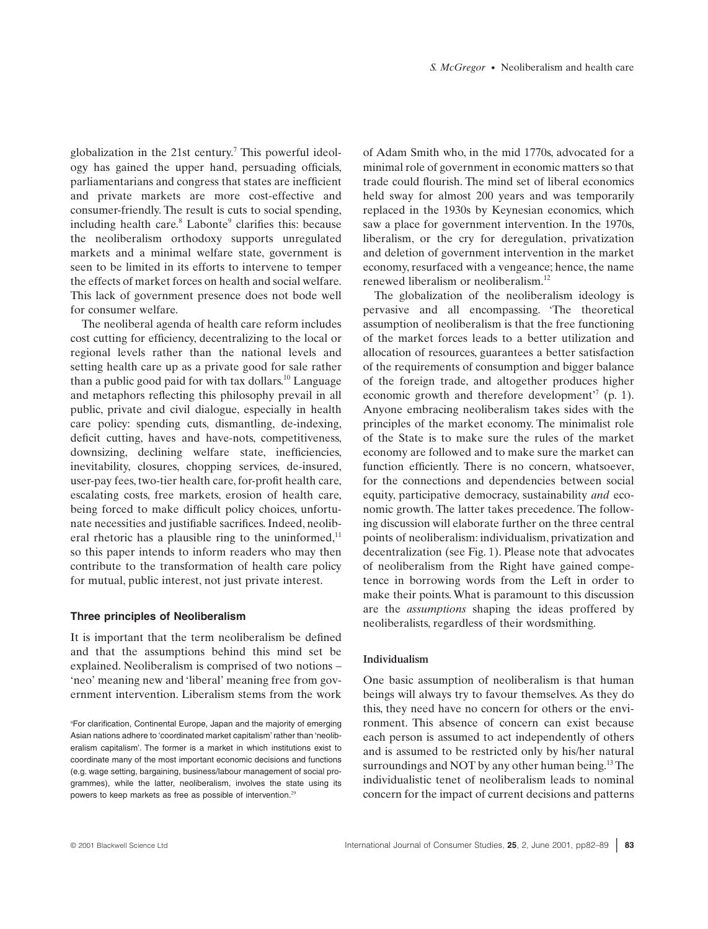globalization in the 21st century.<sup>7</sup> This powerful ideology has gained the upper hand, persuading officials, parliamentarians and congress that states are inefficient and private markets are more cost-effective and consumer-friendly. The result is cuts to social spending, including health care.<sup>8</sup> Labonte<sup>9</sup> clarifies this: because the neoliberalism orthodoxy supports unregulated markets and a minimal welfare state, government is seen to be limited in its efforts to intervene to temper the effects of market forces on health and social welfare. This lack of government presence does not bode well for consumer welfare.

The neoliberal agenda of health care reform includes cost cutting for efficiency, decentralizing to the local or regional levels rather than the national levels and setting health care up as a private good for sale rather than a public good paid for with tax dollars.<sup>10</sup> Language and metaphors reflecting this philosophy prevail in all public, private and civil dialogue, especially in health care policy: spending cuts, dismantling, de-indexing, deficit cutting, haves and have-nots, competitiveness, downsizing, declining welfare state, inefficiencies, inevitability, closures, chopping services, de-insured, user-pay fees, two-tier health care, for-profit health care, escalating costs, free markets, erosion of health care, being forced to make difficult policy choices, unfortunate necessities and justifiable sacrifices. Indeed, neoliberal rhetoric has a plausible ring to the uninformed, $^{11}$ so this paper intends to inform readers who may then contribute to the transformation of health care policy for mutual, public interest, not just private interest.

# **Three principles of Neoliberalism**

It is important that the term neoliberalism be defined and that the assumptions behind this mind set be explained. Neoliberalism is comprised of two notions – 'neo' meaning new and 'liberal' meaning free from government intervention. Liberalism stems from the work

of Adam Smith who, in the mid 1770s, advocated for a minimal role of government in economic matters so that trade could flourish. The mind set of liberal economics held sway for almost 200 years and was temporarily replaced in the 1930s by Keynesian economics, which saw a place for government intervention. In the 1970s, liberalism, or the cry for deregulation, privatization and deletion of government intervention in the market economy, resurfaced with a vengeance; hence, the name renewed liberalism or neoliberalism.12

The globalization of the neoliberalism ideology is pervasive and all encompassing. 'The theoretical assumption of neoliberalism is that the free functioning of the market forces leads to a better utilization and allocation of resources, guarantees a better satisfaction of the requirements of consumption and bigger balance of the foreign trade, and altogether produces higher economic growth and therefore development<sup> $\frac{7}{7}$ </sup> (p. 1). Anyone embracing neoliberalism takes sides with the principles of the market economy. The minimalist role of the State is to make sure the rules of the market economy are followed and to make sure the market can function efficiently. There is no concern, whatsoever, for the connections and dependencies between social equity, participative democracy, sustainability *and* economic growth. The latter takes precedence. The following discussion will elaborate further on the three central points of neoliberalism: individualism, privatization and decentralization (see Fig. 1). Please note that advocates of neoliberalism from the Right have gained competence in borrowing words from the Left in order to make their points. What is paramount to this discussion are the *assumptions* shaping the ideas proffered by neoliberalists, regardless of their wordsmithing.

# **Individualism**

One basic assumption of neoliberalism is that human beings will always try to favour themselves. As they do this, they need have no concern for others or the environment. This absence of concern can exist because each person is assumed to act independently of others and is assumed to be restricted only by his/her natural surroundings and NOT by any other human being.<sup>13</sup> The individualistic tenet of neoliberalism leads to nominal concern for the impact of current decisions and patterns

a For clarification, Continental Europe, Japan and the majority of emerging Asian nations adhere to 'coordinated market capitalism' rather than 'neoliberalism capitalism'. The former is a market in which institutions exist to coordinate many of the most important economic decisions and functions (e.g. wage setting, bargaining, business/labour management of social programmes), while the latter, neoliberalism, involves the state using its powers to keep markets as free as possible of intervention.29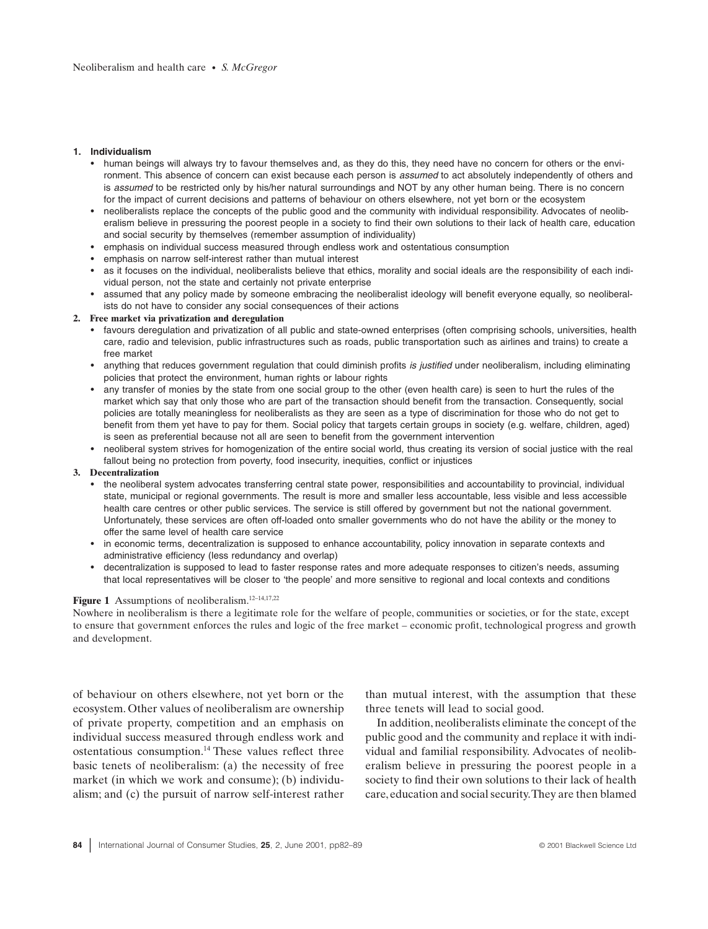#### **1. Individualism**

- human beings will always try to favour themselves and, as they do this, they need have no concern for others or the environment. This absence of concern can exist because each person is *assumed* to act absolutely independently of others and is *assumed* to be restricted only by his/her natural surroundings and NOT by any other human being. There is no concern for the impact of current decisions and patterns of behaviour on others elsewhere, not yet born or the ecosystem
- neoliberalists replace the concepts of the public good and the community with individual responsibility. Advocates of neoliberalism believe in pressuring the poorest people in a society to find their own solutions to their lack of health care, education and social security by themselves (remember assumption of individuality)
- emphasis on individual success measured through endless work and ostentatious consumption
- emphasis on narrow self-interest rather than mutual interest
- as it focuses on the individual, neoliberalists believe that ethics, morality and social ideals are the responsibility of each individual person, not the state and certainly not private enterprise
- assumed that any policy made by someone embracing the neoliberalist ideology will benefit everyone equally, so neoliberalists do not have to consider any social consequences of their actions

#### **2. Free market via privatization and deregulation**

- favours deregulation and privatization of all public and state-owned enterprises (often comprising schools, universities, health care, radio and television, public infrastructures such as roads, public transportation such as airlines and trains) to create a free market
- anything that reduces government regulation that could diminish profits *is justified* under neoliberalism, including eliminating policies that protect the environment, human rights or labour rights
- any transfer of monies by the state from one social group to the other (even health care) is seen to hurt the rules of the market which say that only those who are part of the transaction should benefit from the transaction. Consequently, social policies are totally meaningless for neoliberalists as they are seen as a type of discrimination for those who do not get to benefit from them yet have to pay for them. Social policy that targets certain groups in society (e.g. welfare, children, aged) is seen as preferential because not all are seen to benefit from the government intervention
- neoliberal system strives for homogenization of the entire social world, thus creating its version of social justice with the real fallout being no protection from poverty, food insecurity, inequities, conflict or injustices
- **3. Decentralization**
	- the neoliberal system advocates transferring central state power, responsibilities and accountability to provincial, individual state, municipal or regional governments. The result is more and smaller less accountable, less visible and less accessible health care centres or other public services. The service is still offered by government but not the national government. Unfortunately, these services are often off-loaded onto smaller governments who do not have the ability or the money to offer the same level of health care service
	- in economic terms, decentralization is supposed to enhance accountability, policy innovation in separate contexts and administrative efficiency (less redundancy and overlap)
	- decentralization is supposed to lead to faster response rates and more adequate responses to citizen's needs, assuming that local representatives will be closer to 'the people' and more sensitive to regional and local contexts and conditions

# Figure 1 Assumptions of neoliberalism.<sup>12-14,17,22</sup>

Nowhere in neoliberalism is there a legitimate role for the welfare of people, communities or societies, or for the state, except to ensure that government enforces the rules and logic of the free market – economic profit, technological progress and growth and development.

of behaviour on others elsewhere, not yet born or the ecosystem. Other values of neoliberalism are ownership of private property, competition and an emphasis on individual success measured through endless work and ostentatious consumption.<sup>14</sup> These values reflect three basic tenets of neoliberalism: (a) the necessity of free market (in which we work and consume); (b) individualism; and (c) the pursuit of narrow self-interest rather than mutual interest, with the assumption that these three tenets will lead to social good.

In addition, neoliberalists eliminate the concept of the public good and the community and replace it with individual and familial responsibility. Advocates of neoliberalism believe in pressuring the poorest people in a society to find their own solutions to their lack of health care, education and social security.They are then blamed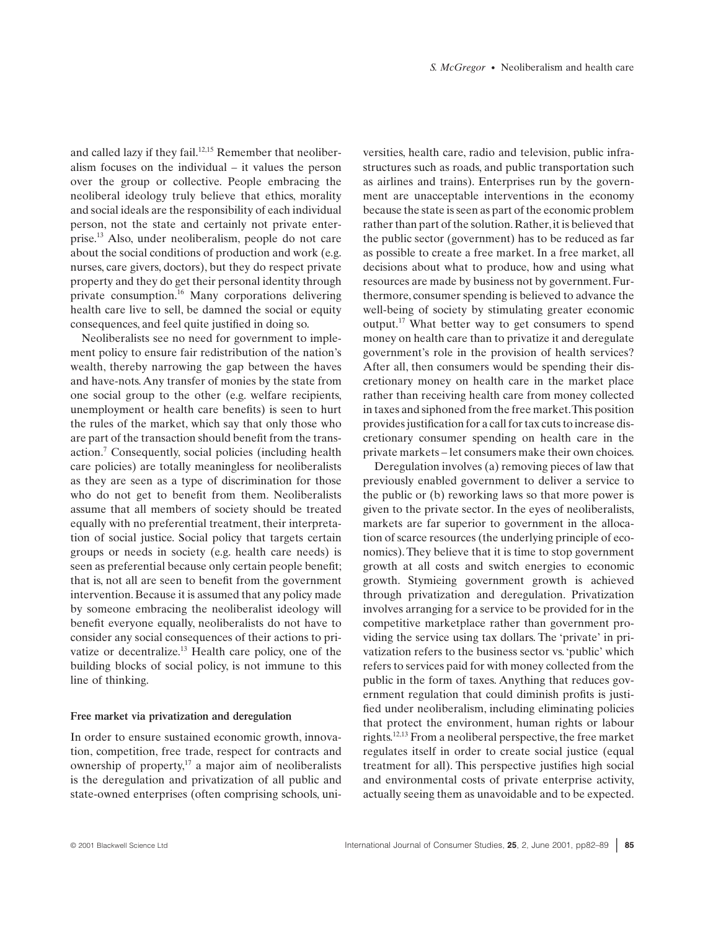and called lazy if they fail.<sup>12,15</sup> Remember that neoliberalism focuses on the individual – it values the person over the group or collective. People embracing the neoliberal ideology truly believe that ethics, morality and social ideals are the responsibility of each individual person, not the state and certainly not private enterprise.13 Also, under neoliberalism, people do not care about the social conditions of production and work (e.g. nurses, care givers, doctors), but they do respect private property and they do get their personal identity through private consumption.16 Many corporations delivering health care live to sell, be damned the social or equity consequences, and feel quite justified in doing so.

Neoliberalists see no need for government to implement policy to ensure fair redistribution of the nation's wealth, thereby narrowing the gap between the haves and have-nots. Any transfer of monies by the state from one social group to the other (e.g. welfare recipients, unemployment or health care benefits) is seen to hurt the rules of the market, which say that only those who are part of the transaction should benefit from the transaction.7 Consequently, social policies (including health care policies) are totally meaningless for neoliberalists as they are seen as a type of discrimination for those who do not get to benefit from them. Neoliberalists assume that all members of society should be treated equally with no preferential treatment, their interpretation of social justice. Social policy that targets certain groups or needs in society (e.g. health care needs) is seen as preferential because only certain people benefit; that is, not all are seen to benefit from the government intervention. Because it is assumed that any policy made by someone embracing the neoliberalist ideology will benefit everyone equally, neoliberalists do not have to consider any social consequences of their actions to privatize or decentralize.<sup>13</sup> Health care policy, one of the building blocks of social policy, is not immune to this line of thinking.

# **Free market via privatization and deregulation**

In order to ensure sustained economic growth, innovation, competition, free trade, respect for contracts and ownership of property, $17$  a major aim of neoliberalists is the deregulation and privatization of all public and state-owned enterprises (often comprising schools, universities, health care, radio and television, public infrastructures such as roads, and public transportation such as airlines and trains). Enterprises run by the government are unacceptable interventions in the economy because the state is seen as part of the economic problem rather than part of the solution. Rather, it is believed that the public sector (government) has to be reduced as far as possible to create a free market. In a free market, all decisions about what to produce, how and using what resources are made by business not by government. Furthermore, consumer spending is believed to advance the well-being of society by stimulating greater economic output.17 What better way to get consumers to spend money on health care than to privatize it and deregulate government's role in the provision of health services? After all, then consumers would be spending their discretionary money on health care in the market place rather than receiving health care from money collected in taxes and siphoned from the free market.This position provides justification for a call for tax cuts to increase discretionary consumer spending on health care in the private markets – let consumers make their own choices.

Deregulation involves (a) removing pieces of law that previously enabled government to deliver a service to the public or (b) reworking laws so that more power is given to the private sector. In the eyes of neoliberalists, markets are far superior to government in the allocation of scarce resources (the underlying principle of economics). They believe that it is time to stop government growth at all costs and switch energies to economic growth. Stymieing government growth is achieved through privatization and deregulation. Privatization involves arranging for a service to be provided for in the competitive marketplace rather than government providing the service using tax dollars. The 'private' in privatization refers to the business sector vs. 'public' which refers to services paid for with money collected from the public in the form of taxes. Anything that reduces government regulation that could diminish profits is justified under neoliberalism, including eliminating policies that protect the environment, human rights or labour rights.12,13 From a neoliberal perspective, the free market regulates itself in order to create social justice (equal treatment for all). This perspective justifies high social and environmental costs of private enterprise activity, actually seeing them as unavoidable and to be expected.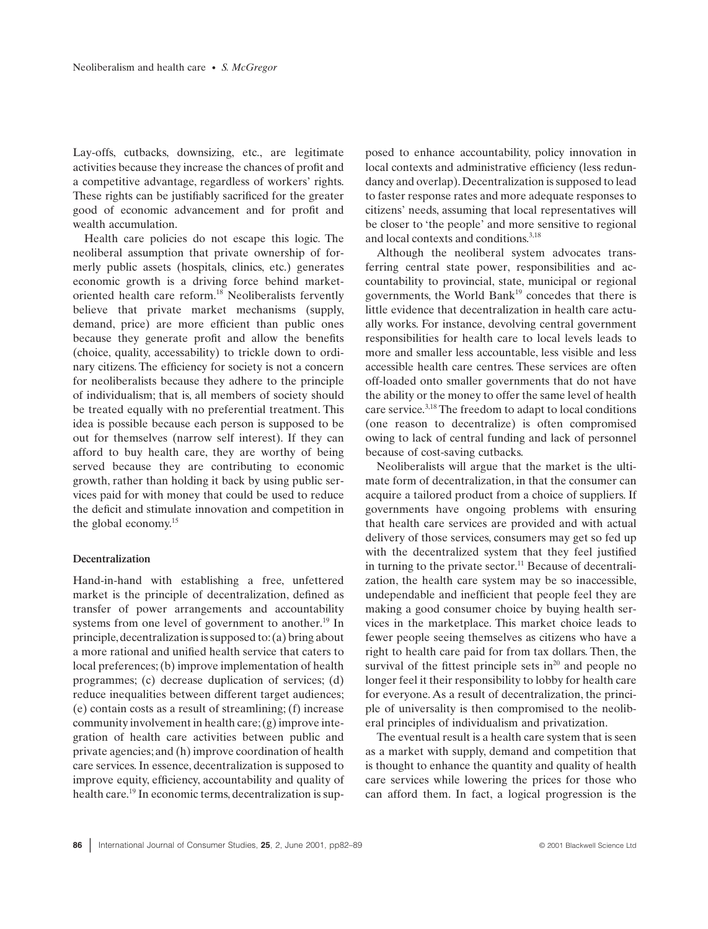Lay-offs, cutbacks, downsizing, etc., are legitimate activities because they increase the chances of profit and a competitive advantage, regardless of workers' rights. These rights can be justifiably sacrificed for the greater good of economic advancement and for profit and wealth accumulation.

Health care policies do not escape this logic. The neoliberal assumption that private ownership of formerly public assets (hospitals, clinics, etc.) generates economic growth is a driving force behind marketoriented health care reform.<sup>18</sup> Neoliberalists fervently believe that private market mechanisms (supply, demand, price) are more efficient than public ones because they generate profit and allow the benefits (choice, quality, accessability) to trickle down to ordinary citizens. The efficiency for society is not a concern for neoliberalists because they adhere to the principle of individualism; that is, all members of society should be treated equally with no preferential treatment. This idea is possible because each person is supposed to be out for themselves (narrow self interest). If they can afford to buy health care, they are worthy of being served because they are contributing to economic growth, rather than holding it back by using public services paid for with money that could be used to reduce the deficit and stimulate innovation and competition in the global economy.15

# **Decentralization**

Hand-in-hand with establishing a free, unfettered market is the principle of decentralization, defined as transfer of power arrangements and accountability systems from one level of government to another.<sup>19</sup> In principle,decentralization is supposed to:(a) bring about a more rational and unified health service that caters to local preferences; (b) improve implementation of health programmes; (c) decrease duplication of services; (d) reduce inequalities between different target audiences; (e) contain costs as a result of streamlining; (f) increase community involvement in health care;(g) improve integration of health care activities between public and private agencies; and (h) improve coordination of health care services. In essence, decentralization is supposed to improve equity, efficiency, accountability and quality of health care.<sup>19</sup> In economic terms, decentralization is supposed to enhance accountability, policy innovation in local contexts and administrative efficiency (less redundancy and overlap). Decentralization is supposed to lead to faster response rates and more adequate responses to citizens' needs, assuming that local representatives will be closer to 'the people' and more sensitive to regional and local contexts and conditions.<sup>3,18</sup>

Although the neoliberal system advocates transferring central state power, responsibilities and accountability to provincial, state, municipal or regional governments, the World Bank<sup>19</sup> concedes that there is little evidence that decentralization in health care actually works. For instance, devolving central government responsibilities for health care to local levels leads to more and smaller less accountable, less visible and less accessible health care centres. These services are often off-loaded onto smaller governments that do not have the ability or the money to offer the same level of health care service.3,18 The freedom to adapt to local conditions (one reason to decentralize) is often compromised owing to lack of central funding and lack of personnel because of cost-saving cutbacks.

Neoliberalists will argue that the market is the ultimate form of decentralization, in that the consumer can acquire a tailored product from a choice of suppliers. If governments have ongoing problems with ensuring that health care services are provided and with actual delivery of those services, consumers may get so fed up with the decentralized system that they feel justified in turning to the private sector.<sup>11</sup> Because of decentralization, the health care system may be so inaccessible, undependable and inefficient that people feel they are making a good consumer choice by buying health services in the marketplace. This market choice leads to fewer people seeing themselves as citizens who have a right to health care paid for from tax dollars. Then, the survival of the fittest principle sets in $^{20}$  and people no longer feel it their responsibility to lobby for health care for everyone. As a result of decentralization, the principle of universality is then compromised to the neoliberal principles of individualism and privatization.

The eventual result is a health care system that is seen as a market with supply, demand and competition that is thought to enhance the quantity and quality of health care services while lowering the prices for those who can afford them. In fact, a logical progression is the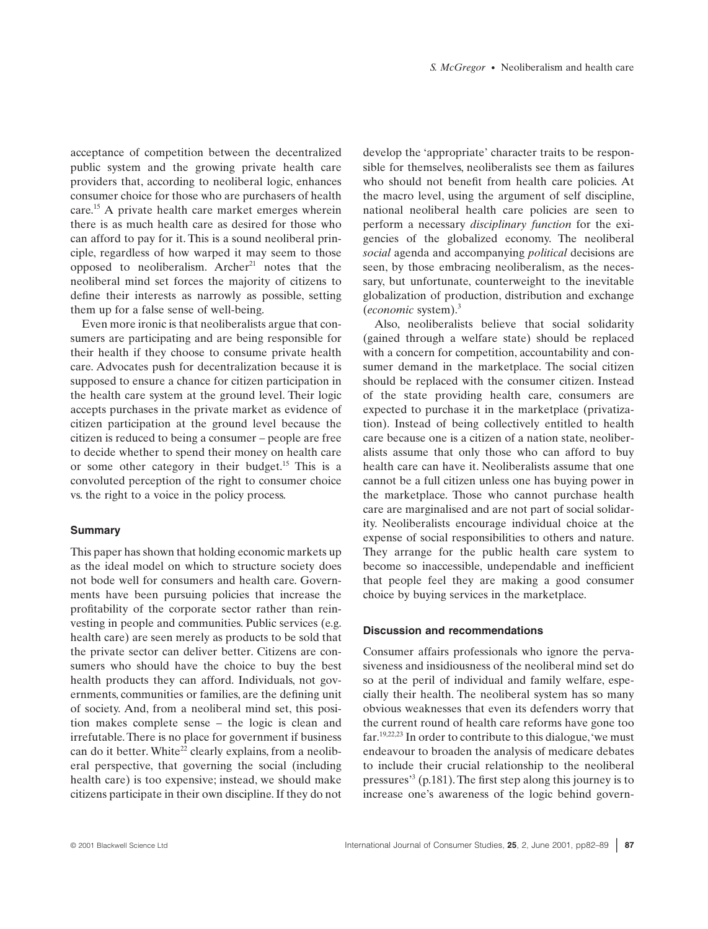acceptance of competition between the decentralized public system and the growing private health care providers that, according to neoliberal logic, enhances consumer choice for those who are purchasers of health care.15 A private health care market emerges wherein there is as much health care as desired for those who can afford to pay for it. This is a sound neoliberal principle, regardless of how warped it may seem to those opposed to neoliberalism. Archer<sup>21</sup> notes that the neoliberal mind set forces the majority of citizens to define their interests as narrowly as possible, setting them up for a false sense of well-being.

Even more ironic is that neoliberalists argue that consumers are participating and are being responsible for their health if they choose to consume private health care. Advocates push for decentralization because it is supposed to ensure a chance for citizen participation in the health care system at the ground level. Their logic accepts purchases in the private market as evidence of citizen participation at the ground level because the citizen is reduced to being a consumer – people are free to decide whether to spend their money on health care or some other category in their budget.15 This is a convoluted perception of the right to consumer choice vs. the right to a voice in the policy process.

# **Summary**

This paper has shown that holding economic markets up as the ideal model on which to structure society does not bode well for consumers and health care. Governments have been pursuing policies that increase the profitability of the corporate sector rather than reinvesting in people and communities. Public services (e.g. health care) are seen merely as products to be sold that the private sector can deliver better. Citizens are consumers who should have the choice to buy the best health products they can afford. Individuals, not governments, communities or families, are the defining unit of society. And, from a neoliberal mind set, this position makes complete sense – the logic is clean and irrefutable. There is no place for government if business can do it better. White<sup>22</sup> clearly explains, from a neoliberal perspective, that governing the social (including health care) is too expensive; instead, we should make citizens participate in their own discipline. If they do not

develop the 'appropriate' character traits to be responsible for themselves, neoliberalists see them as failures who should not benefit from health care policies. At the macro level, using the argument of self discipline, national neoliberal health care policies are seen to perform a necessary *disciplinary function* for the exigencies of the globalized economy. The neoliberal *social* agenda and accompanying *political* decisions are seen, by those embracing neoliberalism, as the necessary, but unfortunate, counterweight to the inevitable globalization of production, distribution and exchange (*economic* system).3

Also, neoliberalists believe that social solidarity (gained through a welfare state) should be replaced with a concern for competition, accountability and consumer demand in the marketplace. The social citizen should be replaced with the consumer citizen. Instead of the state providing health care, consumers are expected to purchase it in the marketplace (privatization). Instead of being collectively entitled to health care because one is a citizen of a nation state, neoliberalists assume that only those who can afford to buy health care can have it. Neoliberalists assume that one cannot be a full citizen unless one has buying power in the marketplace. Those who cannot purchase health care are marginalised and are not part of social solidarity. Neoliberalists encourage individual choice at the expense of social responsibilities to others and nature. They arrange for the public health care system to become so inaccessible, undependable and inefficient that people feel they are making a good consumer choice by buying services in the marketplace.

# **Discussion and recommendations**

Consumer affairs professionals who ignore the pervasiveness and insidiousness of the neoliberal mind set do so at the peril of individual and family welfare, especially their health. The neoliberal system has so many obvious weaknesses that even its defenders worry that the current round of health care reforms have gone too far.<sup>19,22,23</sup> In order to contribute to this dialogue, 'we must endeavour to broaden the analysis of medicare debates to include their crucial relationship to the neoliberal pressures'3 (p.181). The first step along this journey is to increase one's awareness of the logic behind govern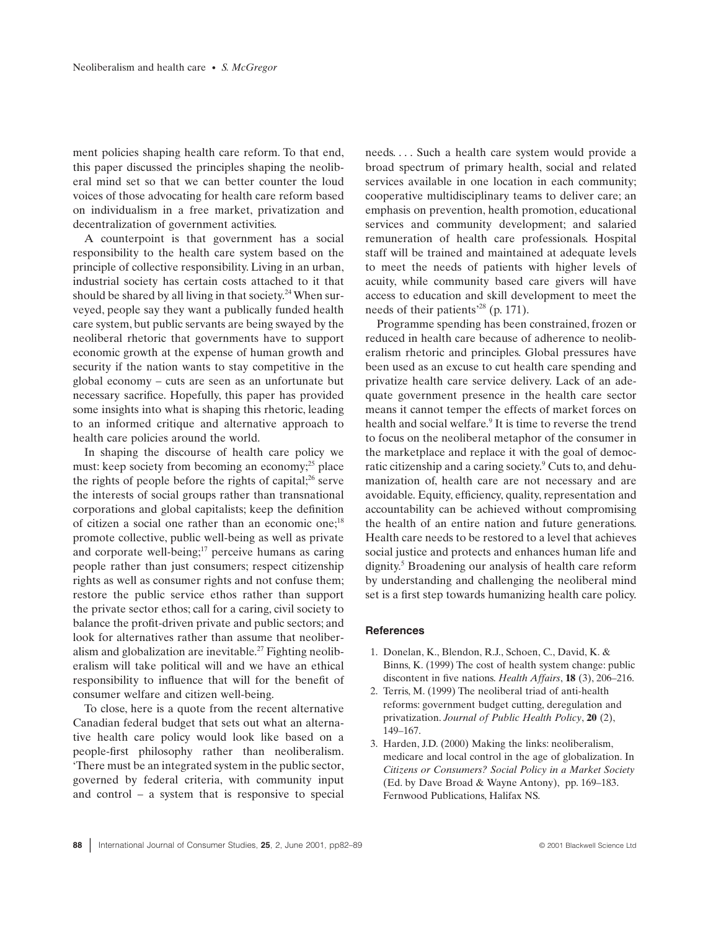ment policies shaping health care reform. To that end, this paper discussed the principles shaping the neoliberal mind set so that we can better counter the loud voices of those advocating for health care reform based on individualism in a free market, privatization and decentralization of government activities.

A counterpoint is that government has a social responsibility to the health care system based on the principle of collective responsibility. Living in an urban, industrial society has certain costs attached to it that should be shared by all living in that society.<sup>24</sup> When surveyed, people say they want a publically funded health care system, but public servants are being swayed by the neoliberal rhetoric that governments have to support economic growth at the expense of human growth and security if the nation wants to stay competitive in the global economy – cuts are seen as an unfortunate but necessary sacrifice. Hopefully, this paper has provided some insights into what is shaping this rhetoric, leading to an informed critique and alternative approach to health care policies around the world.

In shaping the discourse of health care policy we must: keep society from becoming an economy; $^{25}$  place the rights of people before the rights of capital; $^{26}$  serve the interests of social groups rather than transnational corporations and global capitalists; keep the definition of citizen a social one rather than an economic one;<sup>18</sup> promote collective, public well-being as well as private and corporate well-being; $17$  perceive humans as caring people rather than just consumers; respect citizenship rights as well as consumer rights and not confuse them; restore the public service ethos rather than support the private sector ethos; call for a caring, civil society to balance the profit-driven private and public sectors; and look for alternatives rather than assume that neoliberalism and globalization are inevitable.<sup>27</sup> Fighting neoliberalism will take political will and we have an ethical responsibility to influence that will for the benefit of consumer welfare and citizen well-being.

To close, here is a quote from the recent alternative Canadian federal budget that sets out what an alternative health care policy would look like based on a people-first philosophy rather than neoliberalism. 'There must be an integrated system in the public sector, governed by federal criteria, with community input and control – a system that is responsive to special needs.... Such a health care system would provide a broad spectrum of primary health, social and related services available in one location in each community; cooperative multidisciplinary teams to deliver care; an emphasis on prevention, health promotion, educational services and community development; and salaried remuneration of health care professionals. Hospital staff will be trained and maintained at adequate levels to meet the needs of patients with higher levels of acuity, while community based care givers will have access to education and skill development to meet the needs of their patients'28 (p. 171).

Programme spending has been constrained, frozen or reduced in health care because of adherence to neoliberalism rhetoric and principles. Global pressures have been used as an excuse to cut health care spending and privatize health care service delivery. Lack of an adequate government presence in the health care sector means it cannot temper the effects of market forces on health and social welfare.<sup>9</sup> It is time to reverse the trend to focus on the neoliberal metaphor of the consumer in the marketplace and replace it with the goal of democratic citizenship and a caring society.<sup>9</sup> Cuts to, and dehumanization of, health care are not necessary and are avoidable. Equity, efficiency, quality, representation and accountability can be achieved without compromising the health of an entire nation and future generations. Health care needs to be restored to a level that achieves social justice and protects and enhances human life and dignity.5 Broadening our analysis of health care reform by understanding and challenging the neoliberal mind set is a first step towards humanizing health care policy.

#### **References**

- 1. Donelan, K., Blendon, R.J., Schoen, C., David, K. & Binns, K. (1999) The cost of health system change: public discontent in five nations. *Health Affairs*, **18** (3), 206–216.
- 2. Terris, M. (1999) The neoliberal triad of anti-health reforms: government budget cutting, deregulation and privatization. *Journal of Public Health Policy*, **20** (2), 149–167.
- 3. Harden, J.D. (2000) Making the links: neoliberalism, medicare and local control in the age of globalization. In *Citizens or Consumers? Social Policy in a Market Society* (Ed. by Dave Broad & Wayne Antony), pp. 169–183. Fernwood Publications, Halifax NS.